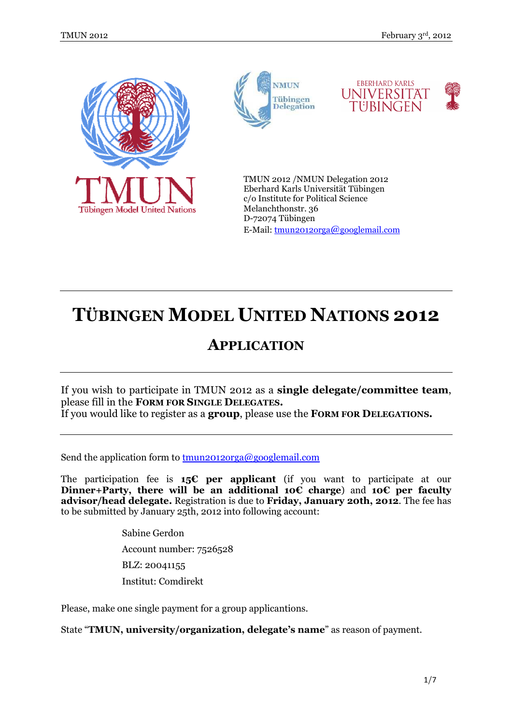







TMUN 2012 /NMUN Delegation 2012 Eberhard Karls Universität Tübingen c/o Institute for Political Science Melanchthonstr. 36 D-72074 Tübingen E-Mail: tmun2012orga@googlemail.com

# **TÜBINGEN MODEL UNITED NATIONS 2012**

# **APPLICATION**

If you wish to participate in TMUN 2012 as a **single delegate/committee team**, please fill in the **FORM FOR SINGLE DELEGATES.**  If you would like to register as a **group**, please use the **FORM FOR DELEGATIONS.** 

Send the application form to  $t_{\text{mun20120rga}}$  as  $\omega$  googlemail.com

The participation fee is **15€ per applicant** (if you want to participate at our **Dinner+Party, there will be an additional 10€ charge**) and **10€ per faculty advisor/head delegate.** Registration is due to **Friday, January 20th, 2012**. The fee has to be submitted by January 25th, 2012 into following account:

> Sabine Gerdon Account number: 7526528 BLZ: 20041155 Institut: Comdirekt

Please, make one single payment for a group applicantions.

State "**TMUN, university/organization, delegate's name**" as reason of payment.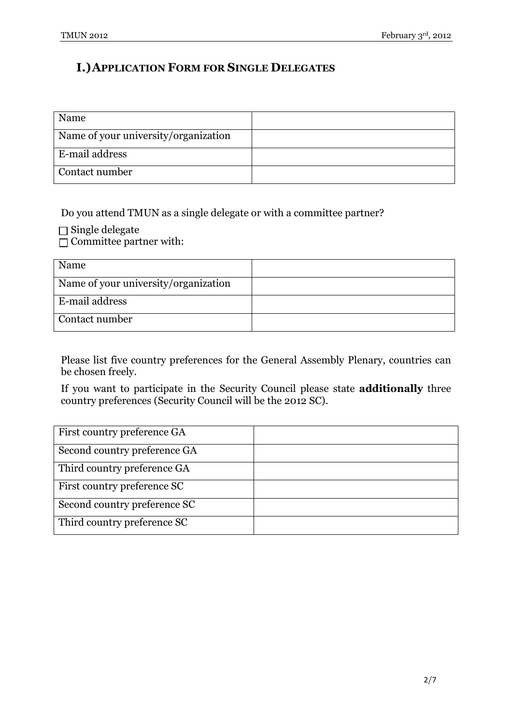## **I.)APPLICATION FORM FOR SINGLE DELEGATES**

| Name                                 |  |
|--------------------------------------|--|
| Name of your university/organization |  |
| E-mail address                       |  |
| Contact number                       |  |

Do you attend TMUN as a single delegate or with a committee partner?

 $\Box$  Single delegate

 $\Box$  Committee partner with:

| Name                                 |  |
|--------------------------------------|--|
| Name of your university/organization |  |
| E-mail address                       |  |
| Contact number                       |  |

Please list five country preferences for the General Assembly Plenary, countries can be chosen freely.

If you want to participate in the Security Council please state **additionally** three country preferences (Security Council will be the 2012 SC).

| First country preference GA  |  |
|------------------------------|--|
| Second country preference GA |  |
| Third country preference GA  |  |
| First country preference SC  |  |
| Second country preference SC |  |
| Third country preference SC  |  |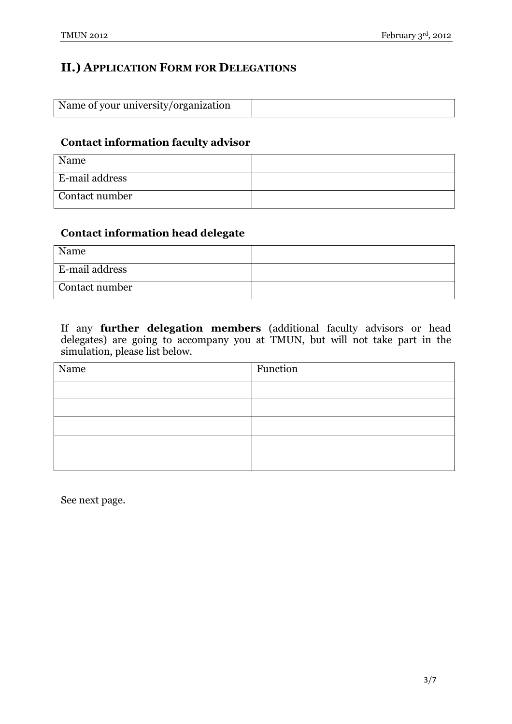### **II.) APPLICATION FORM FOR DELEGATIONS**

| Name of your university/organization |  |
|--------------------------------------|--|

#### **Contact information faculty advisor**

| Name                  |  |
|-----------------------|--|
| <b>E-mail address</b> |  |
| Contact number        |  |

#### **Contact information head delegate**

| Name                  |  |
|-----------------------|--|
| <b>E-mail address</b> |  |
| Contact number        |  |

If any **further delegation members** (additional faculty advisors or head delegates) are going to accompany you at TMUN, but will not take part in the simulation, please list below.

| Name | Function |
|------|----------|
|      |          |
|      |          |
|      |          |
|      |          |
|      |          |

See next page.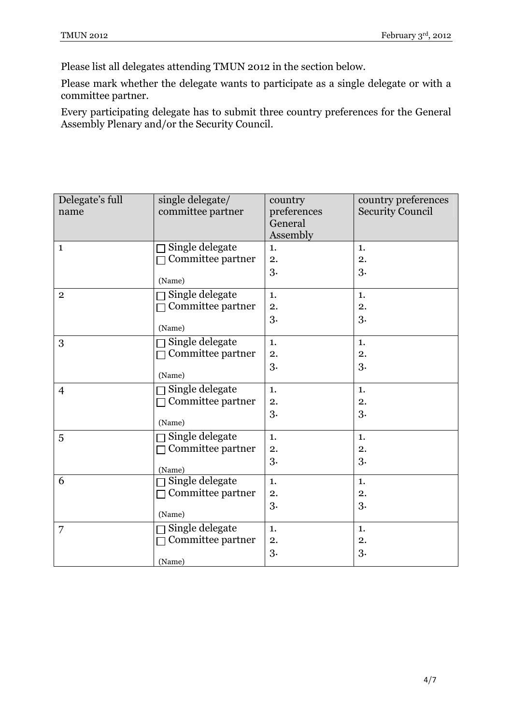Please list all delegates attending TMUN 2012 in the section below.

Please mark whether the delegate wants to participate as a single delegate or with a committee partner.

Every participating delegate has to submit three country preferences for the General Assembly Plenary and/or the Security Council.

| Delegate's full<br>name | single delegate/<br>committee partner | country<br>preferences<br>General<br>Assembly | country preferences<br><b>Security Council</b> |
|-------------------------|---------------------------------------|-----------------------------------------------|------------------------------------------------|
| $\mathbf{1}$            | Single delegate                       | 1.                                            | 1.                                             |
|                         | Committee partner                     | 2.                                            | 2.                                             |
|                         | (Name)                                | 3.                                            | 3.                                             |
| $\overline{2}$          | Single delegate                       | 1.                                            | 1.                                             |
|                         | Committee partner                     | 2.                                            | 2.                                             |
|                         | (Name)                                | 3.                                            | 3.                                             |
| 3                       | Single delegate                       | 1.                                            | 1.                                             |
|                         | Committee partner                     | 2.                                            | 2.                                             |
|                         | (Name)                                | 3.                                            | 3.                                             |
| $\overline{4}$          | Single delegate                       | 1.                                            | 1.                                             |
|                         | Committee partner                     | 2.                                            | 2.                                             |
|                         | (Name)                                | 3.                                            | 3.                                             |
| 5                       | Single delegate                       | 1.                                            | 1.                                             |
|                         | Committee partner                     | 2.                                            | 2.                                             |
|                         | (Name)                                | 3.                                            | 3.                                             |
| 6                       | Single delegate                       | 1.                                            | 1.                                             |
|                         | Committee partner                     | 2.                                            | 2.                                             |
|                         | (Name)                                | 3.                                            | 3.                                             |
| 7                       | Single delegate                       | 1.                                            | 1.                                             |
|                         | Committee partner                     | 2.                                            | 2.                                             |
|                         | (Name)                                | 3.                                            | 3.                                             |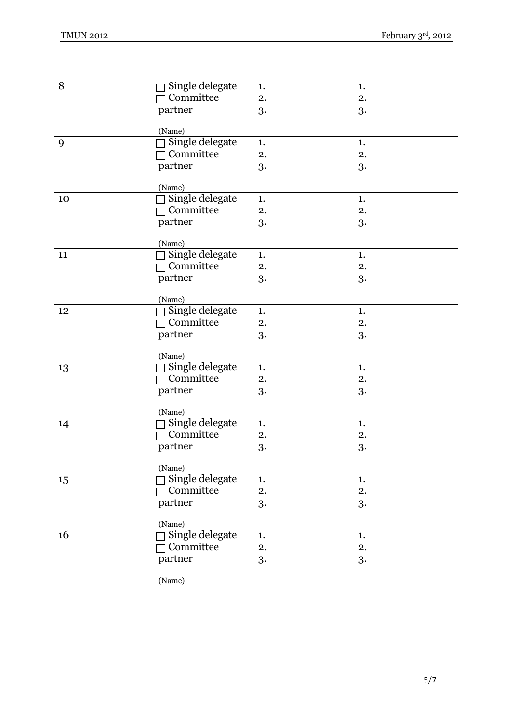| 8  | $\Box$ Single delegate | 1. | 1. |
|----|------------------------|----|----|
|    | $\Box$ Committee       | 2. | 2. |
|    | partner                | 3. | 3. |
|    |                        |    |    |
|    | (Name)                 |    |    |
| 9  | Single delegate        | 1. | 1. |
|    | $\Box$ Committee       | 2. | 2. |
|    | partner                | 3. | 3. |
|    |                        |    |    |
|    | (Name)                 |    |    |
| 10 | $\Box$ Single delegate | 1. | 1. |
|    | $\Box$ Committee       | 2. | 2. |
|    | partner                | 3. | 3. |
|    | (Name)                 |    |    |
| 11 | $\Box$ Single delegate | 1. | 1. |
|    | $\Box$ Committee       | 2. | 2. |
|    | partner                | 3. | 3. |
|    |                        |    |    |
|    | (Name)                 |    |    |
| 12 | Single delegate        | 1. | 1. |
|    | $\Box$ Committee       | 2. | 2. |
|    | partner                | 3. | 3. |
|    |                        |    |    |
|    | (Name)                 |    |    |
| 13 | $\Box$ Single delegate | 1. | 1. |
|    | $\Box$ Committee       | 2. | 2. |
|    | partner                | 3. | 3. |
|    |                        |    |    |
|    | (Name)                 |    |    |
| 14 | □ Single delegate      | 1. | 1. |
|    | $\Box$ Committee       | 2. | 2. |
|    | partner                | 3. | 3. |
|    | (Name)                 |    |    |
| 15 | $\Box$ Single delegate | 1. | 1. |
|    | $\Box$ Committee       | 2. | 2. |
|    | partner                | 3. | 3. |
|    |                        |    |    |
|    | (Name)                 |    |    |
| 16 | $\Box$ Single delegate | 1. | 1. |
|    | $\Box$ Committee       | 2. | 2. |
|    | partner                | 3. | 3. |
|    |                        |    |    |
|    | (Name)                 |    |    |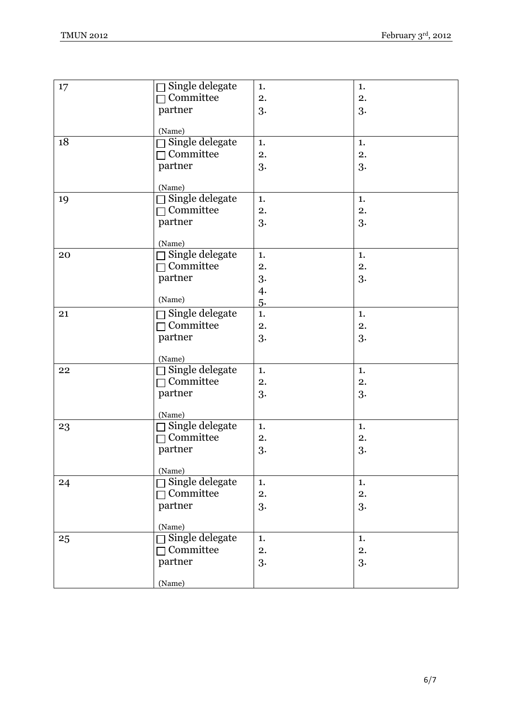| 17 | $\Box$ Single delegate           | 1.         | 1. |
|----|----------------------------------|------------|----|
|    | $\Box$ Committee                 | 2.         | 2. |
|    | partner                          | 3.         | 3. |
|    |                                  |            |    |
|    | (Name)                           |            |    |
| 18 | $\Box$ Single delegate           | 1.         | 1. |
|    | $\neg$ Committee                 | 2.         | 2. |
|    | partner                          | 3.         | 3. |
|    |                                  |            |    |
|    | (Name)<br>$\Box$ Single delegate |            |    |
| 19 |                                  | 1.         | 1. |
|    | $\Box$ Committee                 | 2.         | 2. |
|    | partner                          | 3.         | 3. |
|    | (Name)                           |            |    |
| 20 | $\Box$ Single delegate           | 1.         | 1. |
|    | $\sqsupset$ Committee            | 2.         | 2. |
|    | partner                          | 3.         | 3. |
|    |                                  | $\ddot{4}$ |    |
|    | (Name)                           | 5.         |    |
| 21 | $\Box$ Single delegate           | 1.         | 1. |
|    | $\Box$ Committee                 | 2.         | 2. |
|    | partner                          | 3.         | 3. |
|    |                                  |            |    |
|    | (Name)                           |            |    |
| 22 | Single delegate                  | 1.         | 1. |
|    | $\sqsupset$ Committee            | 2.         | 2. |
|    | partner                          | 3.         | 3. |
|    |                                  |            |    |
|    | (Name)                           |            |    |
| 23 | $\Box$ Single delegate           | 1.         | 1. |
|    | $\Box$ Committee                 | 2.         | 2. |
|    | partner                          | 3.         | 3. |
|    | (Name)                           |            |    |
| 24 | Single delegate                  | 1.         | 1. |
|    | $\Box$ Committee                 | 2.         | 2. |
|    | partner                          | 3.         | 3. |
|    |                                  |            |    |
|    | (Name)                           |            |    |
| 25 | $\Box$ Single delegate           | 1.         | 1. |
|    | $\neg$ Committee                 | 2.         | 2. |
|    | partner                          | 3.         | 3. |
|    |                                  |            |    |
|    | (Name)                           |            |    |